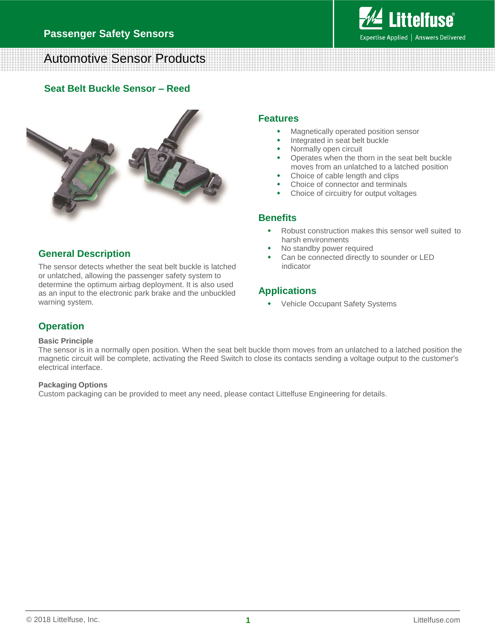

# Automotive Sensor Products

#### **Seat Belt Buckle Sensor – Reed**



### **General Description**

The sensor detects whether the seat belt buckle is latched or unlatched, allowing the passenger safety system to determine the optimum airbag deployment. It is also used as an input to the electronic park brake and the unbuckled warning system.

#### **Features**

- Magnetically operated position sensor
- Integrated in seat belt buckle
- Normally open circuit
- Operates when the thorn in the seat belt buckle moves from an unlatched to a latched position
- Choice of cable length and clips
- Choice of connector and terminals
- Choice of circuitry for output voltages

#### **Benefits**

- Robust construction makes this sensor well suited to harsh environments
- No standby power required
- Can be connected directly to sounder or LED indicator

# **Applications**

Vehicle Occupant Safety Systems

# **Operation**

#### **Basic Principle**

The sensor is in a normally open position. When the seat belt buckle thorn moves from an unlatched to a latched position the magnetic circuit will be complete, activating the Reed Switch to close its contacts sending a voltage output to the customer's electrical interface.

#### **Packaging Options**

Custom packaging can be provided to meet any need, please contact Littelfuse Engineering for details.